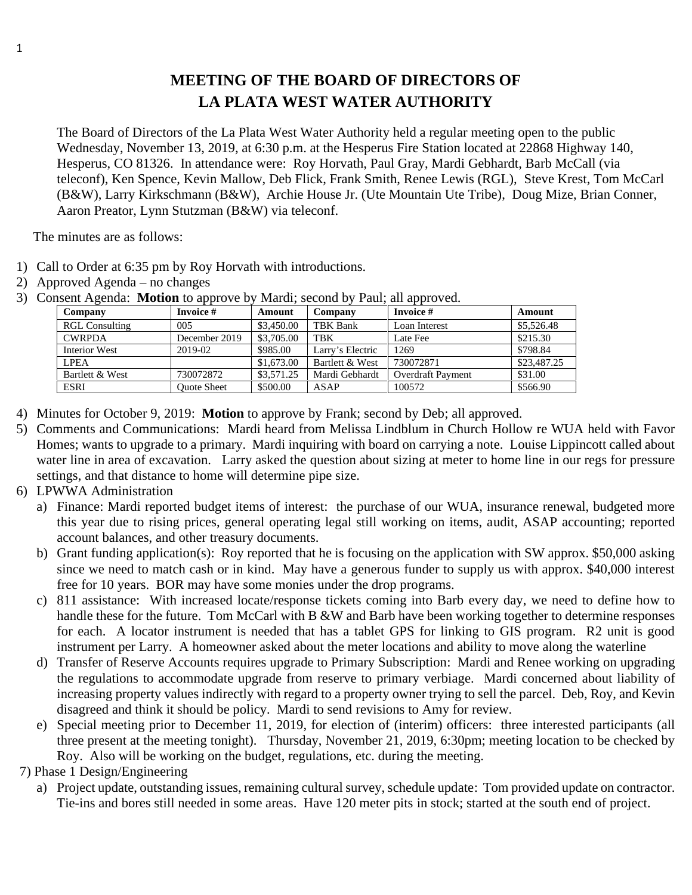## **MEETING OF THE BOARD OF DIRECTORS OF LA PLATA WEST WATER AUTHORITY**

The Board of Directors of the La Plata West Water Authority held a regular meeting open to the public Wednesday, November 13, 2019, at 6:30 p.m. at the Hesperus Fire Station located at 22868 Highway 140, Hesperus, CO 81326. In attendance were: Roy Horvath, Paul Gray, Mardi Gebhardt, Barb McCall (via teleconf), Ken Spence, Kevin Mallow, Deb Flick, Frank Smith, Renee Lewis (RGL), Steve Krest, Tom McCarl (B&W), Larry Kirkschmann (B&W), Archie House Jr. (Ute Mountain Ute Tribe), Doug Mize, Brian Conner, Aaron Preator, Lynn Stutzman (B&W) via teleconf.

The minutes are as follows:

- 1) Call to Order at 6:35 pm by Roy Horvath with introductions.
- 2) Approved Agenda no changes

| Company               | Invoice #          | Amount     | Company          | Invoice #                | Amount      |
|-----------------------|--------------------|------------|------------------|--------------------------|-------------|
| <b>RGL Consulting</b> | 005                | \$3,450.00 | TBK Bank         | Loan Interest            | \$5,526.48  |
| <b>CWRPDA</b>         | December 2019      | \$3,705.00 | <b>TBK</b>       | Late Fee                 | \$215.30    |
| Interior West         | 2019-02            | \$985.00   | Larry's Electric | 1269                     | \$798.84    |
| <b>LPEA</b>           |                    | \$1,673.00 | Bartlett & West  | 730072871                | \$23,487.25 |
| Bartlett & West       | 730072872          | \$3,571.25 | Mardi Gebhardt   | <b>Overdraft Payment</b> | \$31.00     |
| <b>ESRI</b>           | <b>Ouote Sheet</b> | \$500.00   | ASAP             | 100572                   | \$566.90    |

3) Consent Agenda: **Motion** to approve by Mardi; second by Paul; all approved.

- 4) Minutes for October 9, 2019: **Motion** to approve by Frank; second by Deb; all approved.
- 5) Comments and Communications: Mardi heard from Melissa Lindblum in Church Hollow re WUA held with Favor Homes; wants to upgrade to a primary. Mardi inquiring with board on carrying a note. Louise Lippincott called about water line in area of excavation. Larry asked the question about sizing at meter to home line in our regs for pressure settings, and that distance to home will determine pipe size.
- 6) LPWWA Administration
	- a) Finance: Mardi reported budget items of interest: the purchase of our WUA, insurance renewal, budgeted more this year due to rising prices, general operating legal still working on items, audit, ASAP accounting; reported account balances, and other treasury documents.
	- b) Grant funding application(s): Roy reported that he is focusing on the application with SW approx. \$50,000 asking since we need to match cash or in kind. May have a generous funder to supply us with approx. \$40,000 interest free for 10 years. BOR may have some monies under the drop programs.
	- c) 811 assistance: With increased locate/response tickets coming into Barb every day, we need to define how to handle these for the future. Tom McCarl with B &W and Barb have been working together to determine responses for each. A locator instrument is needed that has a tablet GPS for linking to GIS program. R2 unit is good instrument per Larry. A homeowner asked about the meter locations and ability to move along the waterline
	- d) Transfer of Reserve Accounts requires upgrade to Primary Subscription: Mardi and Renee working on upgrading the regulations to accommodate upgrade from reserve to primary verbiage. Mardi concerned about liability of increasing property values indirectly with regard to a property owner trying to sell the parcel. Deb, Roy, and Kevin disagreed and think it should be policy. Mardi to send revisions to Amy for review.
	- e) Special meeting prior to December 11, 2019, for election of (interim) officers: three interested participants (all three present at the meeting tonight). Thursday, November 21, 2019, 6:30pm; meeting location to be checked by Roy. Also will be working on the budget, regulations, etc. during the meeting.
- 7) Phase 1 Design/Engineering
	- a) Project update, outstanding issues, remaining cultural survey, schedule update: Tom provided update on contractor. Tie-ins and bores still needed in some areas. Have 120 meter pits in stock; started at the south end of project.